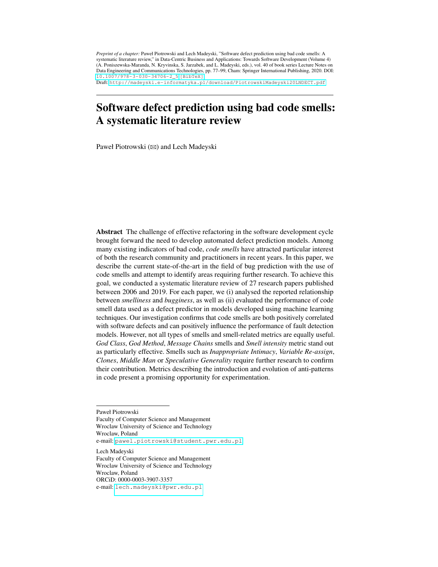<span id="page-0-0"></span>*Preprint of a chapter:* Paweł Piotrowski and Lech Madeyski, "Software defect prediction using bad code smells: A systematic literature review," in Data-Centric Business and Applications: Towards Software Development (Volume 4) (A. Poniszewska-Maranda, N. Kryvinska, S. Jarzabek, and L. Madeyski, eds.), vol. 40 of book series Lecture Notes on Data Engineering and Communications Technologies, pp. 77–99, Cham: Springer International Publishing, 2020. DOI: [10.1007/978-3-030-34706-2\\_5](https://doi.org/10.1007/978-3-030-34706-2_5) [\[BibTeX\]](http://madeyski.e-informatyka.pl/download/MadeyskiRefs.bib)

Draft: <http://madeyski.e-informatyka.pl/download/PiotrowskiMadeyski20LNDECT.pdf>

# Software defect prediction using bad code smells: A systematic literature review

Paweł Piotrowski  $(\boxtimes)$  and Lech Madeyski

Abstract The challenge of effective refactoring in the software development cycle brought forward the need to develop automated defect prediction models. Among many existing indicators of bad code, *code smells* have attracted particular interest of both the research community and practitioners in recent years. In this paper, we describe the current state-of-the-art in the field of bug prediction with the use of code smells and attempt to identify areas requiring further research. To achieve this goal, we conducted a systematic literature review of 27 research papers published between 2006 and 2019. For each paper, we (i) analysed the reported relationship between *smelliness* and *bugginess*, as well as (ii) evaluated the performance of code smell data used as a defect predictor in models developed using machine learning techniques. Our investigation confirms that code smells are both positively correlated with software defects and can positively influence the performance of fault detection models. However, not all types of smells and smell-related metrics are equally useful. *God Class*, *God Method*, *Message Chains* smells and *Smell intensity* metric stand out as particularly effective. Smells such as *Inappropriate Intimacy*, *Variable Re-assign*, *Clones*, *Middle Man* or *Speculative Generality* require further research to confirm their contribution. Metrics describing the introduction and evolution of anti-patterns in code present a promising opportunity for experimentation.

Paweł Piotrowski

Faculty of Computer Science and Management Wroclaw University of Science and Technology

Wroclaw, Poland

e-mail: <pawel.piotrowski@student.pwr.edu.pl>

Lech Madeyski

Faculty of Computer Science and Management Wroclaw University of Science and Technology Wroclaw, Poland ORCiD: 0000-0003-3907-3357

e-mail: <lech.madeyski@pwr.edu.pl>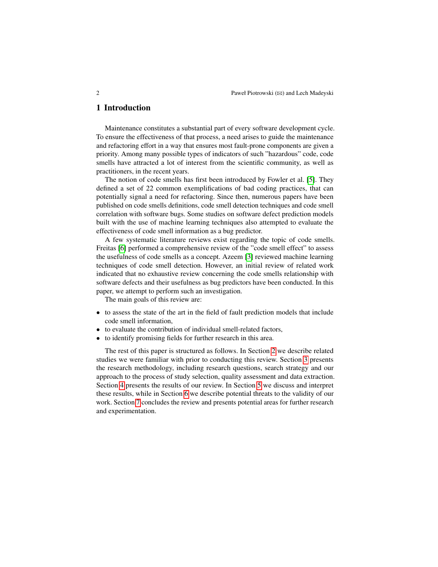# 1 Introduction

Maintenance constitutes a substantial part of every software development cycle. To ensure the effectiveness of that process, a need arises to guide the maintenance and refactoring effort in a way that ensures most fault-prone components are given a priority. Among many possible types of indicators of such "hazardous" code, code smells have attracted a lot of interest from the scientific community, as well as practitioners, in the recent years.

The notion of code smells has first been introduced by Fowler et al. [\[5\]](#page-22-0). They defined a set of 22 common exemplifications of bad coding practices, that can potentially signal a need for refactoring. Since then, numerous papers have been published on code smells definitions, code smell detection techniques and code smell correlation with software bugs. Some studies on software defect prediction models built with the use of machine learning techniques also attempted to evaluate the effectiveness of code smell information as a bug predictor.

A few systematic literature reviews exist regarding the topic of code smells. Freitas [\[6\]](#page-22-1) performed a comprehensive review of the "code smell effect" to assess the usefulness of code smells as a concept. Azeem [\[3\]](#page-21-0) reviewed machine learning techniques of code smell detection. However, an initial review of related work indicated that no exhaustive review concerning the code smells relationship with software defects and their usefulness as bug predictors have been conducted. In this paper, we attempt to perform such an investigation.

The main goals of this review are:

- to assess the state of the art in the field of fault prediction models that include code smell information,
- to evaluate the contribution of individual smell-related factors,
- to identify promising fields for further research in this area.

The rest of this paper is structured as follows. In Section [2](#page-2-0) we describe related studies we were familiar with prior to conducting this review. Section [3](#page-3-0) presents the research methodology, including research questions, search strategy and our approach to the process of study selection, quality assessment and data extraction. Section [4](#page-8-0) presents the results of our review. In Section [5](#page-16-0) we discuss and interpret these results, while in Section [6](#page-18-0) we describe potential threats to the validity of our work. Section [7](#page-19-0) concludes the review and presents potential areas for further research and experimentation.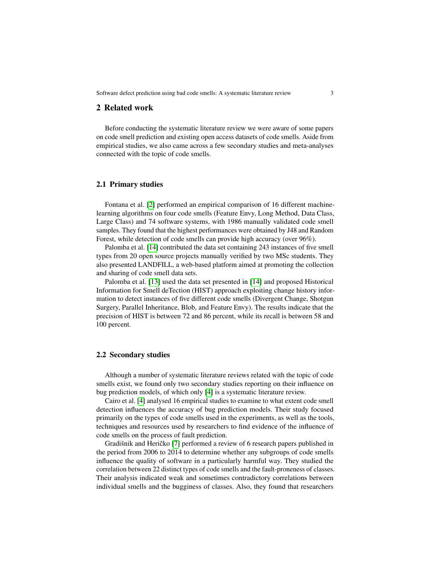## <span id="page-2-0"></span>2 Related work

Before conducting the systematic literature review we were aware of some papers on code smell prediction and existing open access datasets of code smells. Aside from empirical studies, we also came across a few secondary studies and meta-analyses connected with the topic of code smells.

## 2.1 Primary studies

Fontana et al. [\[2\]](#page-21-1) performed an empirical comparison of 16 different machinelearning algorithms on four code smells (Feature Envy, Long Method, Data Class, Large Class) and 74 software systems, with 1986 manually validated code smell samples. They found that the highest performances were obtained by J48 and Random Forest, while detection of code smells can provide high accuracy (over 96%).

Palomba et al. [\[14\]](#page-22-2) contributed the data set containing 243 instances of five smell types from 20 open source projects manually verified by two MSc students. They also presented LANDFILL, a web-based platform aimed at promoting the collection and sharing of code smell data sets.

Palomba et al. [\[13\]](#page-22-3) used the data set presented in [\[14\]](#page-22-2) and proposed Historical Information for Smell deTection (HIST) approach exploiting change history information to detect instances of five different code smells (Divergent Change, Shotgun Surgery, Parallel Inheritance, Blob, and Feature Envy). The results indicate that the precision of HIST is between 72 and 86 percent, while its recall is between 58 and 100 percent.

#### 2.2 Secondary studies

Although a number of systematic literature reviews related with the topic of code smells exist, we found only two secondary studies reporting on their influence on bug prediction models, of which only [\[4\]](#page-22-4) is a systematic literature review.

Cairo et al. [\[4\]](#page-22-4) analysed 16 empirical studies to examine to what extent code smell detection influences the accuracy of bug prediction models. Their study focused primarily on the types of code smells used in the experiments, as well as the tools, techniques and resources used by researchers to find evidence of the influence of code smells on the process of fault prediction.

Gradišnik and Heričko [\[7\]](#page-22-5) performed a review of 6 research papers published in the period from 2006 to 2014 to determine whether any subgroups of code smells influence the quality of software in a particularly harmful way. They studied the correlation between 22 distinct types of code smells and the fault-proneness of classes. Their analysis indicated weak and sometimes contradictory correlations between individual smells and the bugginess of classes. Also, they found that researchers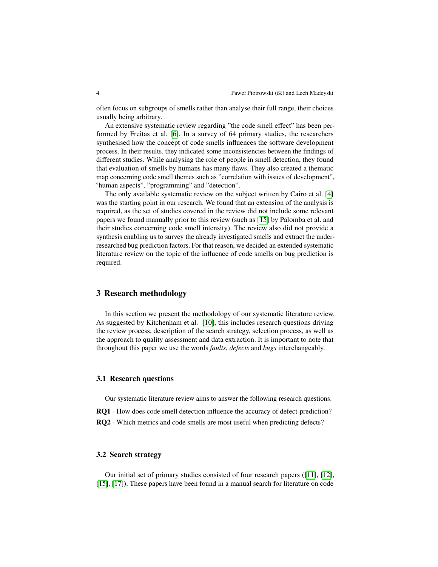often focus on subgroups of smells rather than analyse their full range, their choices usually being arbitrary.

An extensive systematic review regarding "the code smell effect" has been performed by Freitas et al. [\[6\]](#page-22-1). In a survey of 64 primary studies, the researchers synthesised how the concept of code smells influences the software development process. In their results, they indicated some inconsistencies between the findings of different studies. While analysing the role of people in smell detection, they found that evaluation of smells by humans has many flaws. They also created a thematic map concerning code smell themes such as "correlation with issues of development", "human aspects", "programming" and "detection".

The only available systematic review on the subject written by Cairo et al. [\[4\]](#page-22-4) was the starting point in our research. We found that an extension of the analysis is required, as the set of studies covered in the review did not include some relevant papers we found manually prior to this review (such as [\[15\]](#page-22-6) by Palomba et al. and their studies concerning code smell intensity). The review also did not provide a synthesis enabling us to survey the already investigated smells and extract the underresearched bug prediction factors. For that reason, we decided an extended systematic literature review on the topic of the influence of code smells on bug prediction is required.

# <span id="page-3-0"></span>3 Research methodology

In this section we present the methodology of our systematic literature review. As suggested by Kitchenham et al. [\[10\]](#page-22-7), this includes research questions driving the review process, description of the search strategy, selection process, as well as the approach to quality assessment and data extraction. It is important to note that throughout this paper we use the words *faults*, *defects* and *bugs* interchangeably.

#### 3.1 Research questions

Our systematic literature review aims to answer the following research questions.

RQ1 - How does code smell detection influence the accuracy of defect-prediction? RQ2 - Which metrics and code smells are most useful when predicting defects?

#### 3.2 Search strategy

Our initial set of primary studies consisted of four research papers ([\[11\]](#page-22-8), [\[12\]](#page-22-9), [\[15\]](#page-22-6), [\[17\]](#page-22-10)). These papers have been found in a manual search for literature on code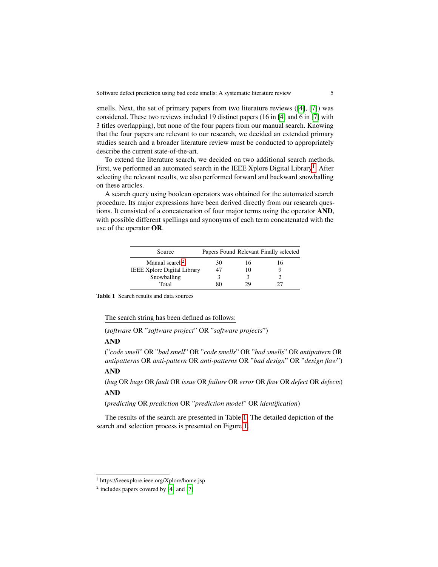smells. Next, the set of primary papers from two literature reviews ([\[4\]](#page-22-4), [\[7\]](#page-22-5)) was considered. These two reviews included 19 distinct papers (16 in [\[4\]](#page-22-4) and 6 in [\[7\]](#page-22-5) with 3 titles overlapping), but none of the four papers from our manual search. Knowing that the four papers are relevant to our research, we decided an extended primary studies search and a broader literature review must be conducted to appropriately describe the current state-of-the-art.

To extend the literature search, we decided on two additional search methods. First, we performed an automated search in the IEEE Xplore Digital Library<sup>[1](#page-0-0)</sup>. After selecting the relevant results, we also performed forward and backward snowballing on these articles.

A search query using boolean operators was obtained for the automated search procedure. Its major expressions have been derived directly from our research questions. It consisted of a concatenation of four major terms using the operator AND, with possible different spellings and synonyms of each term concatenated with the use of the operator OR.

| Source                             |      |    | Papers Found Relevant Finally selected |
|------------------------------------|------|----|----------------------------------------|
| Manual search <sup>2</sup>         | 30   | 16 | 16                                     |
| <b>IEEE Xplore Digital Library</b> |      | 10 |                                        |
| Snowballing                        |      | 3  |                                        |
| Total                              | <( ) | 29 |                                        |

<span id="page-4-0"></span>Table 1 Search results and data sources

#### The search string has been defined as follows:

(*software* OR "*software project*" OR "*software projects*")

#### AND

("*code smell*" OR "*bad smell*" OR "*code smells*" OR "*bad smells*" OR *antipattern* OR *antipatterns* OR *anti-pattern* OR *anti-patterns* OR "*bad design*" OR "*design flaw*")

# AND

(*bug* OR *bugs* OR *fault* OR *issue* OR *failure* OR *error* OR *flaw* OR *defect* OR *defects*) AND

(*predicting* OR *prediction* OR "*prediction model*" OR *identification*)

The results of the search are presented in Table [1.](#page-4-0) The detailed depiction of the search and selection process is presented on Figure [1.](#page-5-0)

<sup>1</sup> https://ieeexplore.ieee.org/Xplore/home.jsp

<sup>&</sup>lt;sup>2</sup> includes papers covered by [\[4\]](#page-22-4) and [\[7\]](#page-22-5)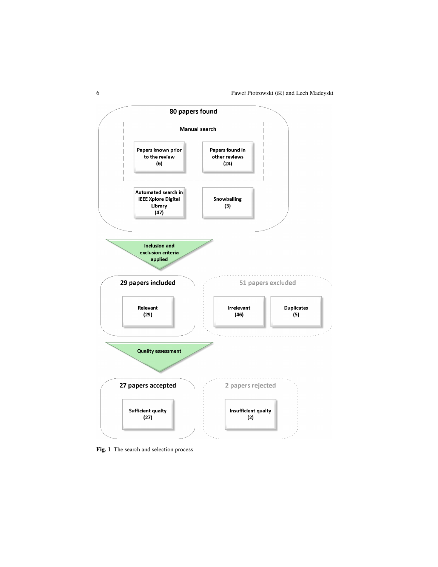6 Paweł Piotrowski (⊠) and Lech Madeyski



<span id="page-5-0"></span>Fig. 1 The search and selection process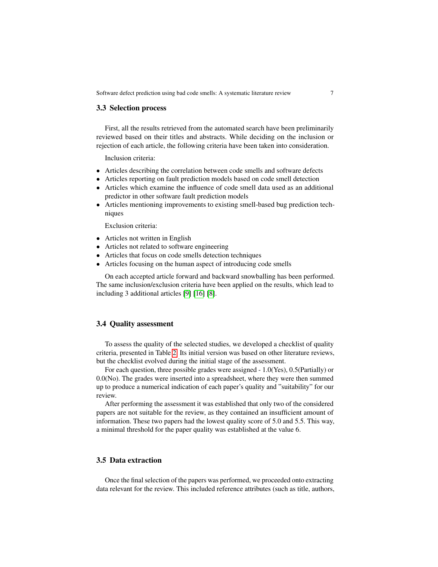#### 3.3 Selection process

First, all the results retrieved from the automated search have been preliminarily reviewed based on their titles and abstracts. While deciding on the inclusion or rejection of each article, the following criteria have been taken into consideration.

Inclusion criteria:

- Articles describing the correlation between code smells and software defects
- Articles reporting on fault prediction models based on code smell detection
- Articles which examine the influence of code smell data used as an additional predictor in other software fault prediction models
- Articles mentioning improvements to existing smell-based bug prediction techniques

Exclusion criteria:

- Articles not written in English
- Articles not related to software engineering
- Articles that focus on code smells detection techniques
- Articles focusing on the human aspect of introducing code smells

On each accepted article forward and backward snowballing has been performed. The same inclusion/exclusion criteria have been applied on the results, which lead to including 3 additional articles [\[9\]](#page-22-11) [\[16\]](#page-22-12) [\[8\]](#page-22-13).

## 3.4 Quality assessment

To assess the quality of the selected studies, we developed a checklist of quality criteria, presented in Table [2.](#page-7-0) Its initial version was based on other literature reviews, but the checklist evolved during the initial stage of the assessment.

For each question, three possible grades were assigned - 1.0(Yes), 0.5(Partially) or 0.0(No). The grades were inserted into a spreadsheet, where they were then summed up to produce a numerical indication of each paper's quality and "suitability" for our review.

After performing the assessment it was established that only two of the considered papers are not suitable for the review, as they contained an insufficient amount of information. These two papers had the lowest quality score of 5.0 and 5.5. This way, a minimal threshold for the paper quality was established at the value 6.

## 3.5 Data extraction

Once the final selection of the papers was performed, we proceeded onto extracting data relevant for the review. This included reference attributes (such as title, authors,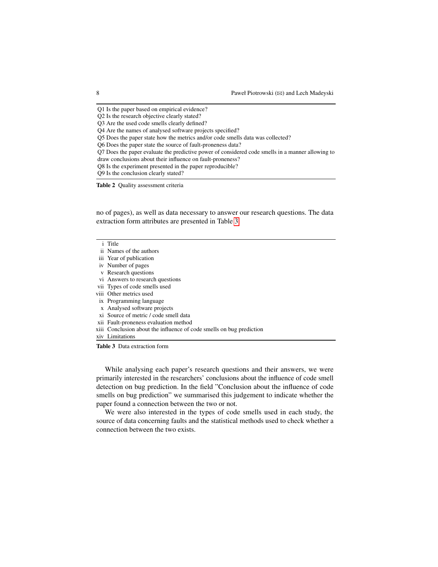- Q7 Does the paper evaluate the predictive power of considered code smells in a manner allowing to
- draw conclusions about their influence on fault-proneness?
- Q8 Is the experiment presented in the paper reproducible?
- Q9 Is the conclusion clearly stated?

<span id="page-7-0"></span>Table 2 Quality assessment criteria

no of pages), as well as data necessary to answer our research questions. The data extraction form attributes are presented in Table [3.](#page-7-1)

| Title |
|-------|
|       |

- ii Names of the authors
- iii Year of publication
- iv Number of pages
- v Research questions
- vi Answers to research questions
- vii Types of code smells used
- viii Other metrics used
- ix Programming language
- x Analysed software projects
- xi Source of metric / code smell data
- xii Fault-proneness evaluation method
- xiii Conclusion about the influence of code smells on bug prediction

xiv Limitations

<span id="page-7-1"></span>Table 3 Data extraction form

While analysing each paper's research questions and their answers, we were primarily interested in the researchers' conclusions about the influence of code smell detection on bug prediction. In the field "Conclusion about the influence of code smells on bug prediction" we summarised this judgement to indicate whether the paper found a connection between the two or not.

We were also interested in the types of code smells used in each study, the source of data concerning faults and the statistical methods used to check whether a connection between the two exists.

Q1 Is the paper based on empirical evidence?

Q2 Is the research objective clearly stated?

Q3 Are the used code smells clearly defined?

Q4 Are the names of analysed software projects specified?

Q5 Does the paper state how the metrics and/or code smells data was collected?

Q6 Does the paper state the source of fault-proneness data?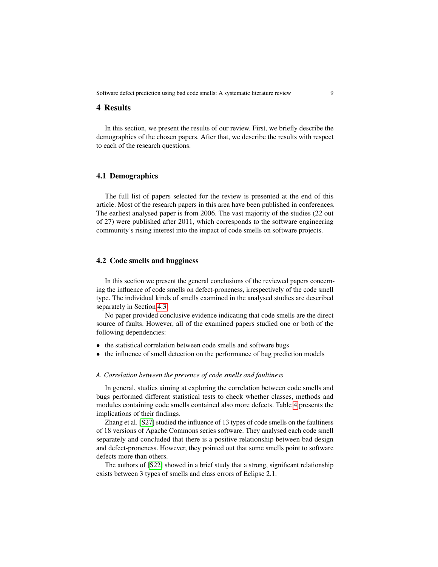## <span id="page-8-0"></span>4 Results

In this section, we present the results of our review. First, we briefly describe the demographics of the chosen papers. After that, we describe the results with respect to each of the research questions.

## 4.1 Demographics

The full list of papers selected for the review is presented at the end of this article. Most of the research papers in this area have been published in conferences. The earliest analysed paper is from 2006. The vast majority of the studies (22 out of 27) were published after 2011, which corresponds to the software engineering community's rising interest into the impact of code smells on software projects.

## 4.2 Code smells and bugginess

In this section we present the general conclusions of the reviewed papers concerning the influence of code smells on defect-proneness, irrespectively of the code smell type. The individual kinds of smells examined in the analysed studies are described separately in Section [4.3.](#page-13-0)

No paper provided conclusive evidence indicating that code smells are the direct source of faults. However, all of the examined papers studied one or both of the following dependencies:

- the statistical correlation between code smells and software bugs
- the influence of smell detection on the performance of bug prediction models

#### *A. Correlation between the presence of code smells and faultiness*

In general, studies aiming at exploring the correlation between code smells and bugs performed different statistical tests to check whether classes, methods and modules containing code smells contained also more defects. Table [4](#page-9-0) presents the implications of their findings.

Zhang et al. [\[S27\]](#page-0-0) studied the influence of 13 types of code smells on the faultiness of 18 versions of Apache Commons series software. They analysed each code smell separately and concluded that there is a positive relationship between bad design and defect-proneness. However, they pointed out that some smells point to software defects more than others.

The authors of [\[S22\]](#page-0-0) showed in a brief study that a strong, significant relationship exists between 3 types of smells and class errors of Eclipse 2.1.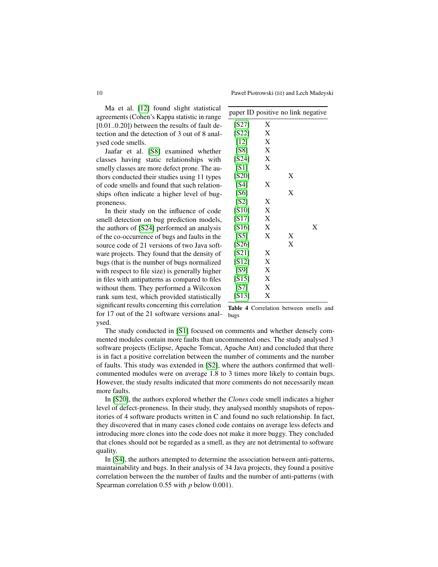10 **Paweł Piotrowski** ( $\boxtimes$ ) and Lech Madeyski

Ma et al. [\[12\]](#page-22-9) found slight statistical agreements (Cohen's Kappa statistic in range [0.01..0.20]) between the results of fault detection and the detection of 3 out of 8 analysed code smells.

Jaafar et al. [\[S8\]](#page-0-0) examined whether classes having static relationships with smelly classes are more defect prone. The authors conducted their studies using 11 types of code smells and found that such relationships often indicate a higher level of bugproneness.

In their study on the influence of code smell detection on bug prediction models, the authors of [\[S24\]](#page-0-0) performed an analysis of the co-occurrence of bugs and faults in the source code of 21 versions of two Java software projects. They found that the density of bugs (that is the number of bugs normalized with respect to file size) is generally higher in files with antipatterns as compared to files without them. They performed a Wilcoxon rank sum test, which provided statistically significant results concerning this correlation for 17 out of the 21 software versions analysed.

| paper ID positive no link negative |              |   |   |
|------------------------------------|--------------|---|---|
| [S27]                              | X            |   |   |
| [S22]                              | X            |   |   |
| [12]                               | X            |   |   |
| [S8]                               | X            |   |   |
| [S24]                              | X            |   |   |
| [S1]                               | X            |   |   |
| [S20]                              |              | X |   |
| [S4]                               | X            |   |   |
| [S6]                               |              | X |   |
| [S2]                               | X            |   |   |
| [S10]                              | X            |   |   |
| [S17]                              | X            |   |   |
| [S16]                              | $\bf{X}$     |   | X |
| [S5]                               | $\mathbf{X}$ | X |   |
| [S26]                              |              | X |   |
| [S21]                              | X            |   |   |
| [S12]                              | X            |   |   |
| [S9]                               | X            |   |   |
| [S15]                              | X            |   |   |
| [S7]                               | $\bf{X}$     |   |   |
| [S13]                              | $\bf{X}$     |   |   |

<span id="page-9-0"></span>Table 4 Correlation between smells and bugs

The study conducted in [\[S1\]](#page-0-0) focused on comments and whether densely commented modules contain more faults than uncommented ones. The study analysed 3 software projects (Eclipse, Apache Tomcat, Apache Ant) and concluded that there is in fact a positive correlation between the number of comments and the number of faults. This study was extended in [\[S2\]](#page-0-0), where the authors confirmed that wellcommented modules were on average 1.8 to 3 times more likely to contain bugs. However, the study results indicated that more comments do not necessarily mean more faults.

In [\[S20\]](#page-0-0), the authors explored whether the *Clones* code smell indicates a higher level of defect-proneness. In their study, they analysed monthly snapshots of repositories of 4 software products written in C and found no such relationship. In fact, they discovered that in many cases cloned code contains on average less defects and introducing more clones into the code does not make it more buggy. They concluded that clones should not be regarded as a smell, as they are not detrimental to software quality.

In [\[S4\]](#page-0-0), the authors attempted to determine the association between anti-patterns, maintainability and bugs. In their analysis of 34 Java projects, they found a positive correlation between the the number of faults and the number of anti-patterns (with Spearman correlation 0.55 with *p* below 0.001).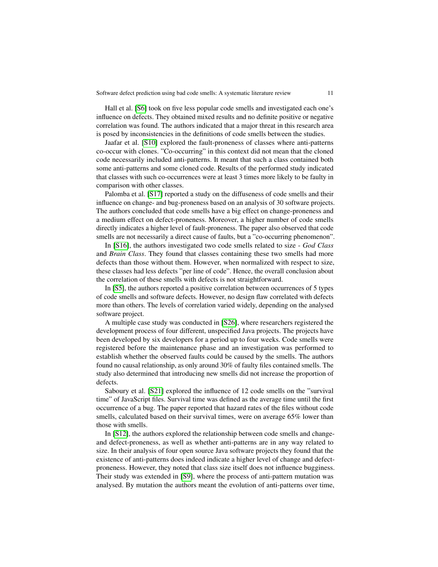Hall et al. [\[S6\]](#page-0-0) took on five less popular code smells and investigated each one's influence on defects. They obtained mixed results and no definite positive or negative correlation was found. The authors indicated that a major threat in this research area is posed by inconsistencies in the definitions of code smells between the studies.

Jaafar et al. [\[S10\]](#page-0-0) explored the fault-proneness of classes where anti-patterns co-occur with clones. "Co-occurring" in this context did not mean that the cloned code necessarily included anti-patterns. It meant that such a class contained both some anti-patterns and some cloned code. Results of the performed study indicated that classes with such co-occurrences were at least 3 times more likely to be faulty in comparison with other classes.

Palomba et al. [\[S17\]](#page-0-0) reported a study on the diffuseness of code smells and their influence on change- and bug-proneness based on an analysis of 30 software projects. The authors concluded that code smells have a big effect on change-proneness and a medium effect on defect-proneness. Moreover, a higher number of code smells directly indicates a higher level of fault-proneness. The paper also observed that code smells are not necessarily a direct cause of faults, but a "co-occurring phenomenon".

In [\[S16\]](#page-0-0), the authors investigated two code smells related to size - *God Class* and *Brain Class*. They found that classes containing these two smells had more defects than those without them. However, when normalized with respect to size, these classes had less defects "per line of code". Hence, the overall conclusion about the correlation of these smells with defects is not straightforward.

In [\[S5\]](#page-0-0), the authors reported a positive correlation between occurrences of 5 types of code smells and software defects. However, no design flaw correlated with defects more than others. The levels of correlation varied widely, depending on the analysed software project.

A multiple case study was conducted in [\[S26\]](#page-0-0), where researchers registered the development process of four different, unspecified Java projects. The projects have been developed by six developers for a period up to four weeks. Code smells were registered before the maintenance phase and an investigation was performed to establish whether the observed faults could be caused by the smells. The authors found no causal relationship, as only around 30% of faulty files contained smells. The study also determined that introducing new smells did not increase the proportion of defects.

Saboury et al. [\[S21\]](#page-0-0) explored the influence of 12 code smells on the "survival time" of JavaScript files. Survival time was defined as the average time until the first occurrence of a bug. The paper reported that hazard rates of the files without code smells, calculated based on their survival times, were on average 65% lower than those with smells.

In [\[S12\]](#page-0-0), the authors explored the relationship between code smells and changeand defect-proneness, as well as whether anti-patterns are in any way related to size. In their analysis of four open source Java software projects they found that the existence of anti-patterns does indeed indicate a higher level of change and defectproneness. However, they noted that class size itself does not influence bugginess. Their study was extended in [\[S9\]](#page-0-0), where the process of anti-pattern mutation was analysed. By mutation the authors meant the evolution of anti-patterns over time,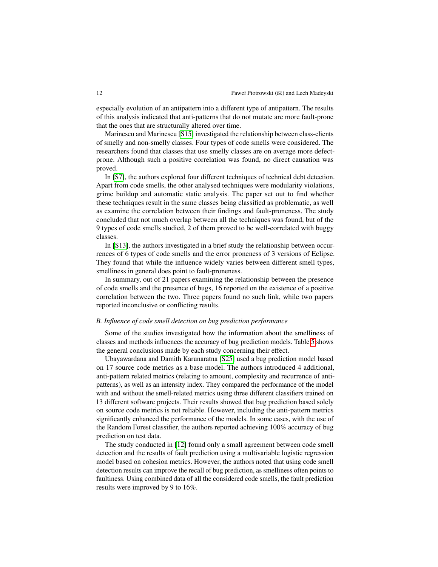especially evolution of an antipattern into a different type of antipattern. The results of this analysis indicated that anti-patterns that do not mutate are more fault-prone that the ones that are structurally altered over time.

Marinescu and Marinescu [\[S15\]](#page-0-0) investigated the relationship between class-clients of smelly and non-smelly classes. Four types of code smells were considered. The researchers found that classes that use smelly classes are on average more defectprone. Although such a positive correlation was found, no direct causation was proved.

In [\[S7\]](#page-0-0), the authors explored four different techniques of technical debt detection. Apart from code smells, the other analysed techniques were modularity violations, grime buildup and automatic static analysis. The paper set out to find whether these techniques result in the same classes being classified as problematic, as well as examine the correlation between their findings and fault-proneness. The study concluded that not much overlap between all the techniques was found, but of the 9 types of code smells studied, 2 of them proved to be well-correlated with buggy classes.

In [\[S13\]](#page-0-0), the authors investigated in a brief study the relationship between occurrences of 6 types of code smells and the error proneness of 3 versions of Eclipse. They found that while the influence widely varies between different smell types, smelliness in general does point to fault-proneness.

In summary, out of 21 papers examining the relationship between the presence of code smells and the presence of bugs, 16 reported on the existence of a positive correlation between the two. Three papers found no such link, while two papers reported inconclusive or conflicting results.

#### *B. Influence of code smell detection on bug prediction performance*

Some of the studies investigated how the information about the smelliness of classes and methods influences the accuracy of bug prediction models. Table [5](#page-12-0) shows the general conclusions made by each study concerning their effect.

Ubayawardana and Damith Karunaratna [\[S25\]](#page-0-0) used a bug prediction model based on 17 source code metrics as a base model. The authors introduced 4 additional, anti-pattern related metrics (relating to amount, complexity and recurrence of antipatterns), as well as an intensity index. They compared the performance of the model with and without the smell-related metrics using three different classifiers trained on 13 different software projects. Their results showed that bug prediction based solely on source code metrics is not reliable. However, including the anti-pattern metrics significantly enhanced the performance of the models. In some cases, with the use of the Random Forest classifier, the authors reported achieving 100% accuracy of bug prediction on test data.

The study conducted in [\[12\]](#page-22-9) found only a small agreement between code smell detection and the results of fault prediction using a multivariable logistic regression model based on cohesion metrics. However, the authors noted that using code smell detection results can improve the recall of bug prediction, as smelliness often points to faultiness. Using combined data of all the considered code smells, the fault prediction results were improved by 9 to 16%.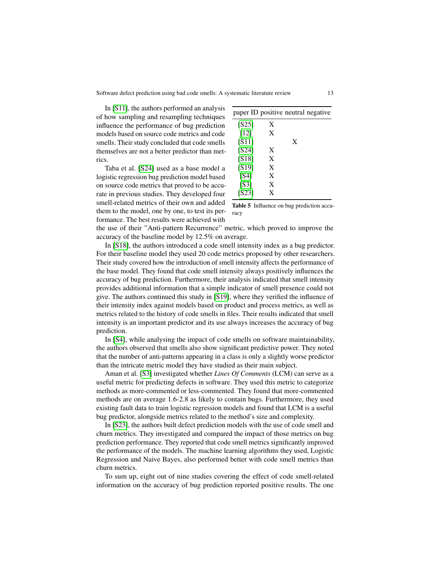In [\[S11\]](#page-0-0), the authors performed an analysis of how sampling and resampling techniques influence the performance of bug prediction models based on source code metrics and code smells. Their study concluded that code smells themselves are not a better predictor than metrics.

Taba et al. [\[S24\]](#page-0-0) used as a base model a logistic regression bug prediction model based on source code metrics that proved to be accurate in previous studies. They developed four smell-related metrics of their own and added them to the model, one by one, to test its performance. The best results were achieved with

| X |   |                                    |
|---|---|------------------------------------|
| X |   |                                    |
|   | X |                                    |
| X |   |                                    |
| X |   |                                    |
| X |   |                                    |
| X |   |                                    |
| X |   |                                    |
| X |   |                                    |
|   |   | paper ID positive neutral negative |

<span id="page-12-0"></span>Table 5 Influence on bug prediction accuracy

the use of their "Anti-pattern Recurrence" metric, which proved to improve the accuracy of the baseline model by 12.5% on average.

In [\[S18\]](#page-0-0), the authors introduced a code smell intensity index as a bug predictor. For their baseline model they used 20 code metrics proposed by other researchers. Their study covered how the introduction of smell intensity affects the performance of the base model. They found that code smell intensity always positively influences the accuracy of bug prediction. Furthermore, their analysis indicated that smell intensity provides additional information that a simple indicator of smell presence could not give. The authors continued this study in [\[S19\]](#page-0-0), where they verified the influence of their intensity index against models based on product and process metrics, as well as metrics related to the history of code smells in files. Their results indicated that smell intensity is an important predictor and its use always increases the accuracy of bug prediction.

In [\[S4\]](#page-0-0), while analysing the impact of code smells on software maintainability, the authors observed that smells also show significant predictive power. They noted that the number of anti-patterns appearing in a class is only a slightly worse predictor than the intricate metric model they have studied as their main subject.

Aman et al. [\[S3\]](#page-0-0) investigated whether *Lines Of Comments* (LCM) can serve as a useful metric for predicting defects in software. They used this metric to categorize methods as more-commented or less-commented. They found that more-commented methods are on average 1.6-2.8 as likely to contain bugs. Furthermore, they used existing fault data to train logistic regression models and found that LCM is a useful bug predictor, alongside metrics related to the method's size and complexity.

In [\[S23\]](#page-0-0), the authors built defect prediction models with the use of code smell and churn metrics. They investigated and compared the impact of those metrics on bug prediction performance. They reported that code smell metrics significantly improved the performance of the models. The machine learning algorithms they used, Logistic Regression and Naive Bayes, also performed better with code smell metrics than churn metrics.

To sum up, eight out of nine studies covering the effect of code smell-related information on the accuracy of bug prediction reported positive results. The one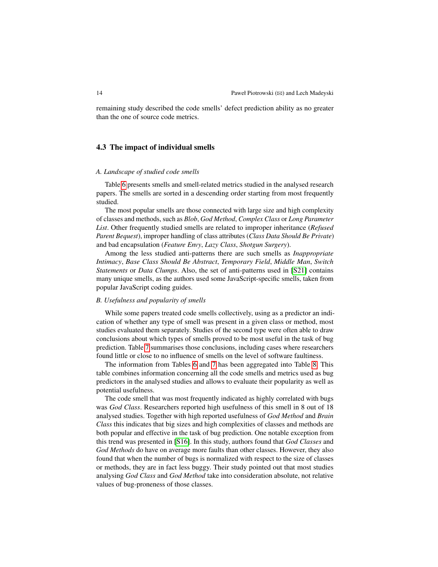remaining study described the code smells' defect prediction ability as no greater than the one of source code metrics.

### <span id="page-13-0"></span>4.3 The impact of individual smells

#### *A. Landscape of studied code smells*

Table [6](#page-14-0) presents smells and smell-related metrics studied in the analysed research papers. The smells are sorted in a descending order starting from most frequently studied.

The most popular smells are those connected with large size and high complexity of classes and methods, such as *Blob*, *God Method*, *Complex Class* or *Long Parameter List*. Other frequently studied smells are related to improper inheritance (*Refused Parent Bequest*), improper handling of class attributes (*Class Data Should Be Private*) and bad encapsulation (*Feature Envy*, *Lazy Class*, *Shotgun Surgery*).

Among the less studied anti-patterns there are such smells as *Inappropriate Intimacy*, *Base Class Should Be Abstract*, *Temporary Field*, *Middle Man*, *Switch Statements* or *Data Clumps*. Also, the set of anti-patterns used in [\[S21\]](#page-0-0) contains many unique smells, as the authors used some JavaScript-specific smells, taken from popular JavaScript coding guides.

#### *B. Usefulness and popularity of smells*

While some papers treated code smells collectively, using as a predictor an indication of whether any type of smell was present in a given class or method, most studies evaluated them separately. Studies of the second type were often able to draw conclusions about which types of smells proved to be most useful in the task of bug prediction. Table [7](#page-15-0) summarises those conclusions, including cases where researchers found little or close to no influence of smells on the level of software faultiness.

The information from Tables [6](#page-14-0) and [7](#page-15-0) has been aggregated into Table [8.](#page-17-0) This table combines information concerning all the code smells and metrics used as bug predictors in the analysed studies and allows to evaluate their popularity as well as potential usefulness.

The code smell that was most frequently indicated as highly correlated with bugs was *God Class*. Researchers reported high usefulness of this smell in 8 out of 18 analysed studies. Together with high reported usefulness of *God Method* and *Brain Class* this indicates that big sizes and high complexities of classes and methods are both popular and effective in the task of bug prediction. One notable exception from this trend was presented in [\[S16\]](#page-0-0). In this study, authors found that *God Classes* and *God Methods* do have on average more faults than other classes. However, they also found that when the number of bugs is normalized with respect to the size of classes or methods, they are in fact less buggy. Their study pointed out that most studies analysing *God Class* and *God Method* take into consideration absolute, not relative values of bug-proneness of those classes.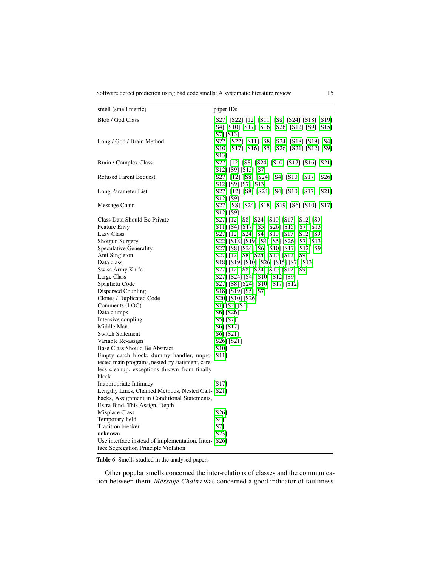Software defect prediction using bad code smells: A systematic literature review 15

| smell (smell metric)                                  | paper IDs                                                                                                            |
|-------------------------------------------------------|----------------------------------------------------------------------------------------------------------------------|
| <b>Blob / God Class</b>                               | [S27] [S22] [12] [S11] [S8] [S24] [S18] [S19]<br>[S4] [S10] [S17] [S16] [S26] [S12] [S9] [S15]<br>[S7] [S13]         |
| Long / God / Brain Method                             | [S27] [S22] [S11] [S8] [S24] [S18] [S19] [S4]<br>[S10] [S17] [S16] [S5] [S26] [S21] [S12] [S9]<br>[S <sub>13</sub> ] |
| Brain / Complex Class                                 | [S27] [12] [S8] [S24] [S10] [S17] [S16] [S21]<br>[S12] [S9] [S15] [S7]                                               |
| <b>Refused Parent Bequest</b>                         | [S27] [12] [S8] [S24] [S4] [S10] [S17] [S26]<br>[S12] [S9] [S7] [S13]                                                |
| Long Parameter List                                   | [S27] [12] [S8] [S24] [S4] [S10] [S17] [S21]<br>[S12] [S9]                                                           |
| Message Chain                                         | [S27] [S8] [S24] [S18] [S19] [S6] [S10] [S17]<br>[S12] [S9]                                                          |
| Class Data Should Be Private                          | [S27] [12] [S8] [S24] [S10] [S17] [S12] [S9]                                                                         |
| <b>Feature Envy</b>                                   | [S11] [S4] [S17] [S5] [S26] [S15] [S7] [S13]                                                                         |
| <b>Lazy Class</b>                                     | [S27] [12] [S24] [S4] [S10] [S17] [S12] [S9]                                                                         |
| Shotgun Surgery                                       | [S22] [S18] [S19] [S4] [S5] [S26] [S7] [S13]                                                                         |
| <b>Speculative Generality</b>                         | [S27] [S8] [S24] [S6] [S10] [S17] [S12] [S9]                                                                         |
| Anti Singleton                                        | [S27] [12] [S8] [S24] [S10] [S12] [S9]                                                                               |
| Data class                                            | [S18] [S19] [S10] [S26] [S15] [S7] [S13]                                                                             |
| Swiss Army Knife                                      | [S27] [12] [S8] [S24] [S10] [S12] [S9]                                                                               |
| Large Class                                           | [S27] [S24] [S4] [S10] [S12] [S9]                                                                                    |
| Spaghetti Code                                        | [S27] [S8] [S24] [S10] [S17] [S12]                                                                                   |
| <b>Dispersed Coupling</b>                             | [S18] [S19] [S5] [S7]                                                                                                |
| Clones / Duplicated Code                              | [S20] [S10] [S26]                                                                                                    |
| Comments (LOC)                                        | [S1] [S2] [S3]                                                                                                       |
| Data clumps                                           | [S6] [S26]                                                                                                           |
| Intensive coupling                                    | $[S5]$ $[S7]$                                                                                                        |
| Middle Man                                            | [S6] [S17]                                                                                                           |
| <b>Switch Statement</b>                               | [S6] [S21]                                                                                                           |
| Variable Re-assign                                    | [S26] [S21]                                                                                                          |
| <b>Base Class Should Be Abstract</b>                  | [S10]                                                                                                                |
| Empty catch block, dummy handler, unpro-[S11]         |                                                                                                                      |
| tected main programs, nested try statement, care-     |                                                                                                                      |
| less cleanup, exceptions thrown from finally<br>block |                                                                                                                      |
| Inappropriate Intimacy                                | [S17]                                                                                                                |
| Lengthy Lines, Chained Methods, Nested Call-[S21]     |                                                                                                                      |
| backs, Assignment in Conditional Statements,          |                                                                                                                      |
| Extra Bind, This Assign, Depth                        |                                                                                                                      |
| Misplace Class                                        | [S26]                                                                                                                |
| Temporary field                                       | [S4]                                                                                                                 |
| <b>Tradition</b> breaker                              | [S7]                                                                                                                 |
| unknown                                               | [S23]                                                                                                                |
| Use interface instead of implementation, Inter- [S26] |                                                                                                                      |
| face Segregation Principle Violation                  |                                                                                                                      |

<span id="page-14-0"></span>Table 6 Smells studied in the analysed papers

Other popular smells concerned the inter-relations of classes and the communication between them. *Message Chains* was concerned a good indicator of faultiness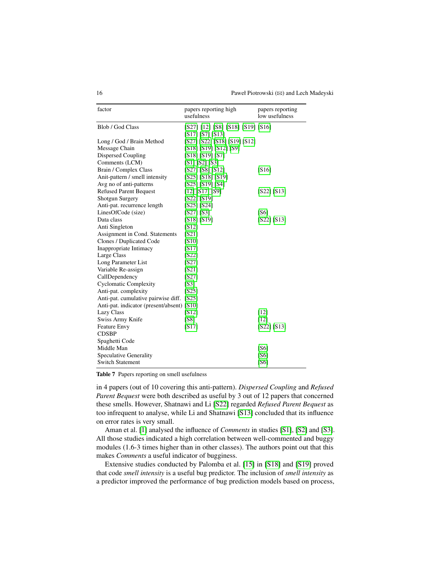16 Paweł Piotrowski (⊠) and Lech Madeyski

| factor                                     | papers reporting high<br>usefulness                                      | papers reporting<br>low usefulness |
|--------------------------------------------|--------------------------------------------------------------------------|------------------------------------|
| <b>Blob / God Class</b>                    | [S27] [12] [S8] [S18] [S19] [S16]<br>[S17] [S7] [S13]                    |                                    |
| Long / God / Brain Method                  | [S27] [S22] [S18] [S19] [S12]                                            |                                    |
| Message Chain                              | [S <sub>18]</sub> [S <sub>19]</sub> [S <sub>12</sub> ] [S <sub>9</sub> ] |                                    |
| Dispersed Coupling                         | [S18] [S19] [S7]                                                         |                                    |
| Comments (LCM)                             | [S1] [S2] [S3]                                                           |                                    |
| Brain / Complex Class                      | [S27] [S8] [S12]                                                         | [S16]                              |
| Anit-pattern / smell intensity             | [S25] [S18] [S19]                                                        |                                    |
| Avg no of anti-patterns                    | [S25] [S19] [S4]                                                         |                                    |
| <b>Refused Parent Bequest</b>              | [12] [S17] [S9]                                                          | [S22] [S13]                        |
| Shotgun Surgery                            | [S22] [S19]                                                              |                                    |
| Anti-pat. recurrence length                | [S25] [S24]                                                              |                                    |
| LinesOfCode (size)                         | [S27] [S3]                                                               | [S6]                               |
| Data class                                 | [S18] [S19]                                                              | [S22] [S13]                        |
| Anti Singleton                             | [S12]                                                                    |                                    |
| Assignment in Cond. Statements             | [S21]                                                                    |                                    |
| Clones / Duplicated Code                   | [S10]                                                                    |                                    |
| Inappropriate Intimacy                     | [S17]                                                                    |                                    |
| Large Class                                | [S22]                                                                    |                                    |
| Long Parameter List                        | [S27]                                                                    |                                    |
| Variable Re-assign                         | [S21]                                                                    |                                    |
| CallDependency                             | [S27]                                                                    |                                    |
| <b>Cyclomatic Complexity</b>               | [S3]                                                                     |                                    |
| Anti-pat. complexity                       | [S25]                                                                    |                                    |
| Anti-pat. cumulative pairwise diff. [S25]  |                                                                          |                                    |
| Anti-pat. indicator (present/absent) [S10] |                                                                          |                                    |
| Lazy Class                                 | [S12]                                                                    | [12]                               |
| Swiss Army Knife                           | [S8]                                                                     | [12]                               |
| <b>Feature Envy</b>                        | [S17]                                                                    | [S22] [S13]                        |
| <b>CDSBP</b>                               |                                                                          |                                    |
| Spaghetti Code                             |                                                                          |                                    |
| Middle Man                                 |                                                                          | [S6]                               |
| Speculative Generality                     |                                                                          | [S6]                               |
| <b>Switch Statement</b>                    |                                                                          | [S6]                               |

<span id="page-15-0"></span>Table 7 Papers reporting on smell usefulness

in 4 papers (out of 10 covering this anti-pattern). *Dispersed Coupling* and *Refused Parent Bequest* were both described as useful by 3 out of 12 papers that concerned these smells. However, Shatnawi and Li [\[S22\]](#page-0-0) regarded *Refused Parent Bequest* as too infrequent to analyse, while Li and Shatnawi [\[S13\]](#page-0-0) concluded that its influence on error rates is very small.

Aman et al. [\[1\]](#page-21-2) analysed the influence of *Comments* in studies [\[S1\]](#page-0-0), [\[S2\]](#page-0-0) and [\[S3\]](#page-0-0). All those studies indicated a high correlation between well-commented and buggy modules (1.6-3 times higher than in other classes). The authors point out that this makes *Comments* a useful indicator of bugginess.

Extensive studies conducted by Palomba et al. [\[15\]](#page-22-6) in [\[S18\]](#page-0-0) and [\[S19\]](#page-0-0) proved that code *smell intensity* is a useful bug predictor. The inclusion of *smell intensity* as a predictor improved the performance of bug prediction models based on process,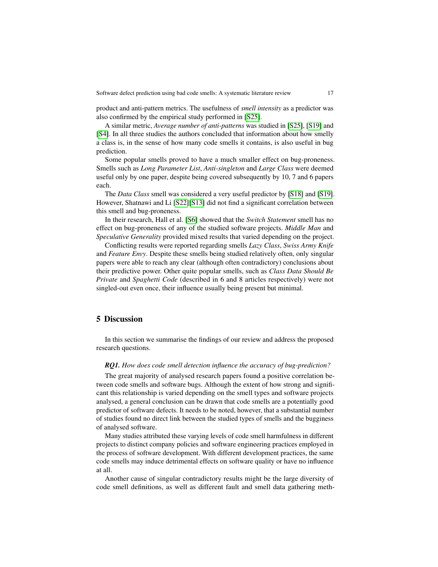product and anti-pattern metrics. The usefulness of *smell intensity* as a predictor was also confirmed by the empirical study performed in [\[S25\]](#page-0-0).

A similar metric, *Average number of anti-patterns* was studied in [\[S25\]](#page-0-0), [\[S19\]](#page-0-0) and [\[S4\]](#page-0-0). In all three studies the authors concluded that information about how smelly a class is, in the sense of how many code smells it contains, is also useful in bug prediction.

Some popular smells proved to have a much smaller effect on bug-proneness. Smells such as *Long Parameter List*, *Anti-singleton* and *Large Class* were deemed useful only by one paper, despite being covered subsequently by 10, 7 and 6 papers each.

The *Data Class* smell was considered a very useful predictor by [\[S18\]](#page-0-0) and [\[S19\]](#page-0-0). However, Shatnawi and Li [\[S22\]\[S13\]](#page-0-0) did not find a significant correlation between this smell and bug-proneness.

In their research, Hall et al. [\[S6\]](#page-0-0) showed that the *Switch Statement* smell has no effect on bug-proneness of any of the studied software projects. *Middle Man* and *Speculative Generality* provided mixed results that varied depending on the project.

Conflicting results were reported regarding smells *Lazy Class*, *Swiss Army Knife* and *Feature Envy*. Despite these smells being studied relatively often, only singular papers were able to reach any clear (although often contradictory) conclusions about their predictive power. Other quite popular smells, such as *Class Data Should Be Private* and *Spaghetti Code* (described in 6 and 8 articles respectively) were not singled-out even once, their influence usually being present but minimal.

# <span id="page-16-0"></span>5 Discussion

In this section we summarise the findings of our review and address the proposed research questions.

#### *RQ1. How does code smell detection influence the accuracy of bug-prediction?*

The great majority of analysed research papers found a positive correlation between code smells and software bugs. Although the extent of how strong and significant this relationship is varied depending on the smell types and software projects analysed, a general conclusion can be drawn that code smells are a potentially good predictor of software defects. It needs to be noted, however, that a substantial number of studies found no direct link between the studied types of smells and the bugginess of analysed software.

Many studies attributed these varying levels of code smell harmfulness in different projects to distinct company policies and software engineering practices employed in the process of software development. With different development practices, the same code smells may induce detrimental effects on software quality or have no influence at all.

Another cause of singular contradictory results might be the large diversity of code smell definitions, as well as different fault and smell data gathering meth-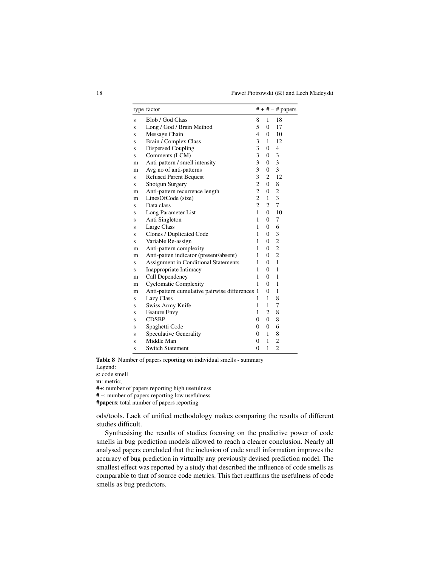18 Paweł Piotrowski (⊠) and Lech Madeyski

|   | type factor                                    |                |                | $# + # - # papers$ |
|---|------------------------------------------------|----------------|----------------|--------------------|
| S | Blob / God Class                               | 8              | 1              | 18                 |
| S | Long / God / Brain Method                      | 5              | $\mathbf{0}$   | 17                 |
| S | Message Chain                                  | $\overline{4}$ | $\mathbf{0}$   | 10                 |
| S | Brain / Complex Class                          | 3              | $\mathbf{1}$   | 12                 |
| s | Dispersed Coupling                             | 3              | $\mathbf{0}$   | $\overline{4}$     |
| S | Comments (LCM)                                 | 3              | $\mathbf{0}$   | 3                  |
| m | Anti-pattern / smell intensity                 | 3              | $\mathbf{0}$   | 3                  |
| m | Avg no of anti-patterns                        | 3              | $\mathbf{0}$   | 3                  |
| S | <b>Refused Parent Bequest</b>                  | 3              | $\overline{2}$ | 12                 |
| S | <b>Shotgun Surgery</b>                         | $\overline{c}$ | $\mathbf{0}$   | 8                  |
| m | Anti-pattern recurrence length                 | $\overline{2}$ | $\mathbf{0}$   | $\overline{c}$     |
| m | LinesOfCode (size)                             | $\overline{c}$ | $\mathbf{1}$   | 3                  |
| S | Data class                                     | $\overline{c}$ | $\overline{c}$ | $\overline{7}$     |
| S | Long Parameter List                            | 1              | $\Omega$       | 10                 |
| S | Anti Singleton                                 | 1              | $\Omega$       | 7                  |
| S | Large Class                                    | 1              | $\Omega$       | 6                  |
| S | Clones / Duplicated Code                       | 1              | $\mathbf{0}$   | 3                  |
| S | Variable Re-assign                             | 1              | $\Omega$       | $\overline{c}$     |
| m | Anti-pattern complexity                        | 1              | $\mathbf{0}$   | $\overline{2}$     |
| m | Anti-patten indicator (present/absent)         | 1              | $\mathbf{0}$   | $\overline{c}$     |
| S | Assignment in Conditional Statements           | 1              | $\mathbf{0}$   | $\mathbf{1}$       |
| S | Inappropriate Intimacy                         | 1              | $\Omega$       | 1                  |
| m | Call Dependency                                | 1              | 0              | 1                  |
| m | <b>Cyclomatic Complexity</b>                   | 1              | $\Omega$       | 1                  |
| m | Anti-pattern cumulative pairwise differences 1 |                | $\mathbf{0}$   | 1                  |
| S | <b>Lazy Class</b>                              | 1              | $\mathbf{1}$   | 8                  |
| S | Swiss Army Knife                               | 1              | 1              | 7                  |
| S | <b>Feature Envy</b>                            | 1              | $\overline{c}$ | 8                  |
| S | <b>CDSBP</b>                                   | $\theta$       | $\mathbf{0}$   | 8                  |
| s | Spaghetti Code                                 | $\theta$       | $\mathbf{0}$   | 6                  |
| s | Speculative Generality                         | 0              | 1              | 8                  |
| S | Middle Man                                     | $\theta$       | 1              | $\overline{2}$     |
| S | <b>Switch Statement</b>                        | $\theta$       | 1              | $\overline{2}$     |

<span id="page-17-0"></span>Table 8 Number of papers reporting on individual smells - summary Legend: s: code smell

m: metric;

#+: number of papers reporting high usefulness

# –: number of papers reporting low usefulness

#papers: total number of papers reporting

ods/tools. Lack of unified methodology makes comparing the results of different studies difficult.

Synthesising the results of studies focusing on the predictive power of code smells in bug prediction models allowed to reach a clearer conclusion. Nearly all analysed papers concluded that the inclusion of code smell information improves the accuracy of bug prediction in virtually any previously devised prediction model. The smallest effect was reported by a study that described the influence of code smells as comparable to that of source code metrics. This fact reaffirms the usefulness of code smells as bug predictors.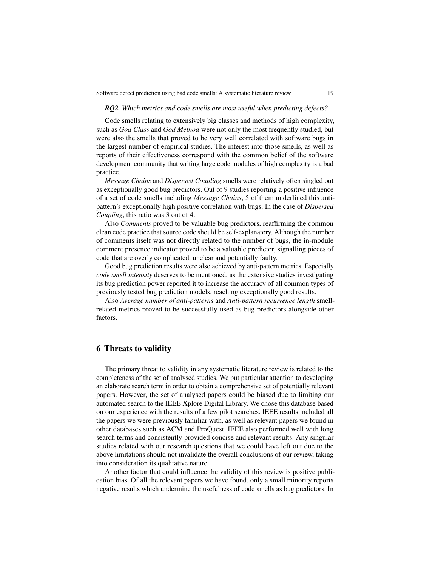#### *RQ2. Which metrics and code smells are most useful when predicting defects?*

Code smells relating to extensively big classes and methods of high complexity, such as *God Class* and *God Method* were not only the most frequently studied, but were also the smells that proved to be very well correlated with software bugs in the largest number of empirical studies. The interest into those smells, as well as reports of their effectiveness correspond with the common belief of the software development community that writing large code modules of high complexity is a bad practice.

*Message Chains* and *Dispersed Coupling* smells were relatively often singled out as exceptionally good bug predictors. Out of 9 studies reporting a positive influence of a set of code smells including *Message Chains*, 5 of them underlined this antipattern's exceptionally high positive correlation with bugs. In the case of *Dispersed Coupling*, this ratio was 3 out of 4.

Also *Comments* proved to be valuable bug predictors, reaffirming the common clean code practice that source code should be self-explanatory. Although the number of comments itself was not directly related to the number of bugs, the in-module comment presence indicator proved to be a valuable predictor, signalling pieces of code that are overly complicated, unclear and potentially faulty.

Good bug prediction results were also achieved by anti-pattern metrics. Especially *code smell intensity* deserves to be mentioned, as the extensive studies investigating its bug prediction power reported it to increase the accuracy of all common types of previously tested bug prediction models, reaching exceptionally good results.

Also *Average number of anti-patterns* and *Anti-pattern recurrence length* smellrelated metrics proved to be successfully used as bug predictors alongside other factors.

## <span id="page-18-0"></span>6 Threats to validity

The primary threat to validity in any systematic literature review is related to the completeness of the set of analysed studies. We put particular attention to developing an elaborate search term in order to obtain a comprehensive set of potentially relevant papers. However, the set of analysed papers could be biased due to limiting our automated search to the IEEE Xplore Digital Library. We chose this database based on our experience with the results of a few pilot searches. IEEE results included all the papers we were previously familiar with, as well as relevant papers we found in other databases such as ACM and ProQuest. IEEE also performed well with long search terms and consistently provided concise and relevant results. Any singular studies related with our research questions that we could have left out due to the above limitations should not invalidate the overall conclusions of our review, taking into consideration its qualitative nature.

Another factor that could influence the validity of this review is positive publication bias. Of all the relevant papers we have found, only a small minority reports negative results which undermine the usefulness of code smells as bug predictors. In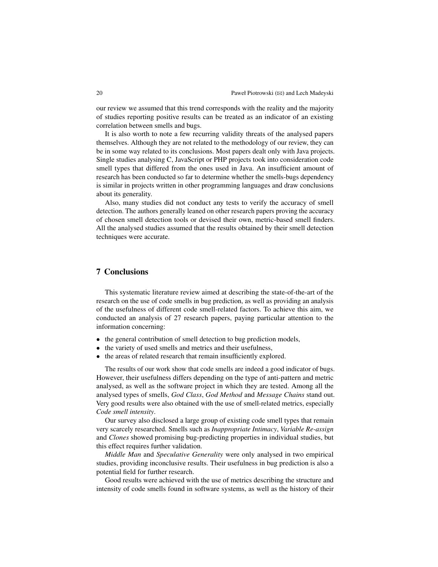our review we assumed that this trend corresponds with the reality and the majority of studies reporting positive results can be treated as an indicator of an existing correlation between smells and bugs.

It is also worth to note a few recurring validity threats of the analysed papers themselves. Although they are not related to the methodology of our review, they can be in some way related to its conclusions. Most papers dealt only with Java projects. Single studies analysing C, JavaScript or PHP projects took into consideration code smell types that differed from the ones used in Java. An insufficient amount of research has been conducted so far to determine whether the smells-bugs dependency is similar in projects written in other programming languages and draw conclusions about its generality.

Also, many studies did not conduct any tests to verify the accuracy of smell detection. The authors generally leaned on other research papers proving the accuracy of chosen smell detection tools or devised their own, metric-based smell finders. All the analysed studies assumed that the results obtained by their smell detection techniques were accurate.

# <span id="page-19-0"></span>7 Conclusions

This systematic literature review aimed at describing the state-of-the-art of the research on the use of code smells in bug prediction, as well as providing an analysis of the usefulness of different code smell-related factors. To achieve this aim, we conducted an analysis of 27 research papers, paying particular attention to the information concerning:

- the general contribution of smell detection to bug prediction models,
- the variety of used smells and metrics and their usefulness,
- the areas of related research that remain insufficiently explored.

The results of our work show that code smells are indeed a good indicator of bugs. However, their usefulness differs depending on the type of anti-pattern and metric analysed, as well as the software project in which they are tested. Among all the analysed types of smells, *God Class*, *God Method* and *Message Chains* stand out. Very good results were also obtained with the use of smell-related metrics, especially *Code smell intensity*.

Our survey also disclosed a large group of existing code smell types that remain very scarcely researched. Smells such as *Inappropriate Intimacy*, *Variable Re-assign* and *Clones* showed promising bug-predicting properties in individual studies, but this effect requires further validation.

*Middle Man* and *Speculative Generality* were only analysed in two empirical studies, providing inconclusive results. Their usefulness in bug prediction is also a potential field for further research.

Good results were achieved with the use of metrics describing the structure and intensity of code smells found in software systems, as well as the history of their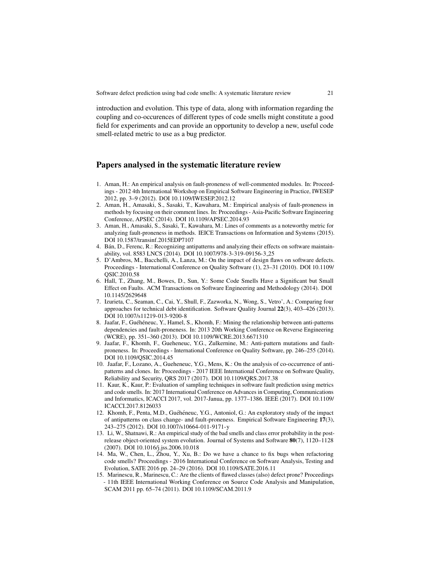introduction and evolution. This type of data, along with information regarding the coupling and co-occurences of different types of code smells might constitute a good field for experiments and can provide an opportunity to develop a new, useful code smell-related metric to use as a bug predictor.

## Papers analysed in the systematic literature review

- 1. Aman, H.: An empirical analysis on fault-proneness of well-commented modules. In: Proceedings - 2012 4th International Workshop on Empirical Software Engineering in Practice, IWESEP 2012, pp. 3–9 (2012). DOI 10.1109/IWESEP.2012.12
- 2. Aman, H., Amasaki, S., Sasaki, T., Kawahara, M.: Empirical analysis of fault-proneness in methods by focusing on their comment lines. In: Proceedings - Asia-Pacific Software Engineering Conference, APSEC (2014). DOI 10.1109/APSEC.2014.93
- 3. Aman, H., Amasaki, S., Sasaki, T., Kawahara, M.: Lines of comments as a noteworthy metric for analyzing fault-proneness in methods. IEICE Transactions on Information and Systems (2015). DOI 10.1587/transinf.2015EDP7107
- 4. Ban, D., Ferenc, R.: Recognizing antipatterns and analyzing their effects on software maintain- ´ ability, vol. 8583 LNCS (2014). DOI 10.1007/978-3-319-09156-3 25
- 5. D'Ambros, M., Bacchelli, A., Lanza, M.: On the impact of design flaws on software defects. Proceedings - International Conference on Quality Software (1), 23–31 (2010). DOI 10.1109/ QSIC.2010.58
- 6. Hall, T., Zhang, M., Bowes, D., Sun, Y.: Some Code Smells Have a Significant but Small Effect on Faults. ACM Transactions on Software Engineering and Methodology (2014). DOI 10.1145/2629648
- 7. Izurieta, C., Seaman, C., Cai, Y., Shull, F., Zazworka, N., Wong, S., Vetro', A.: Comparing four approaches for technical debt identification. Software Quality Journal 22(3), 403–426 (2013). DOI 10.1007/s11219-013-9200-8
- 8. Jaafar, F., Guéhéneuc, Y., Hamel, S., Khomh, F.: Mining the relationship between anti-patterns dependencies and fault-proneness. In: 2013 20th Working Conference on Reverse Engineering (WCRE), pp. 351–360 (2013). DOI 10.1109/WCRE.2013.6671310
- 9. Jaafar, F., Khomh, F., Gueheneuc, Y.G., Zulkernine, M.: Anti-pattern mutations and faultproneness. In: Proceedings - International Conference on Quality Software, pp. 246–255 (2014). DOI 10.1109/QSIC.2014.45
- 10. Jaafar, F., Lozano, A., Gueheneuc, Y.G., Mens, K.: On the analysis of co-occurrence of antipatterns and clones. In: Proceedings - 2017 IEEE International Conference on Software Quality, Reliability and Security, QRS 2017 (2017). DOI 10.1109/QRS.2017.38
- 11. Kaur, K., Kaur, P.: Evaluation of sampling techniques in software fault prediction using metrics and code smells. In: 2017 International Conference on Advances in Computing, Communications and Informatics, ICACCI 2017, vol. 2017-Janua, pp. 1377–1386. IEEE (2017). DOI 10.1109/ ICACCI.2017.8126033
- 12. Khomh, F., Penta, M.D., Guéhéneuc, Y.G., Antoniol, G.: An exploratory study of the impact of antipatterns on class change- and fault-proneness. Empirical Software Engineering 17(3), 243–275 (2012). DOI 10.1007/s10664-011-9171-y
- 13. Li, W., Shatnawi, R.: An empirical study of the bad smells and class error probability in the postrelease object-oriented system evolution. Journal of Systems and Software 80(7), 1120–1128 (2007). DOI 10.1016/j.jss.2006.10.018
- 14. Ma, W., Chen, L., Zhou, Y., Xu, B.: Do we have a chance to fix bugs when refactoring code smells? Proceedings - 2016 International Conference on Software Analysis, Testing and Evolution, SATE 2016 pp. 24–29 (2016). DOI 10.1109/SATE.2016.11
- 15. Marinescu, R., Marinescu, C.: Are the clients of flawed classes (also) defect prone? Proceedings - 11th IEEE International Working Conference on Source Code Analysis and Manipulation, SCAM 2011 pp. 65–74 (2011). DOI 10.1109/SCAM.2011.9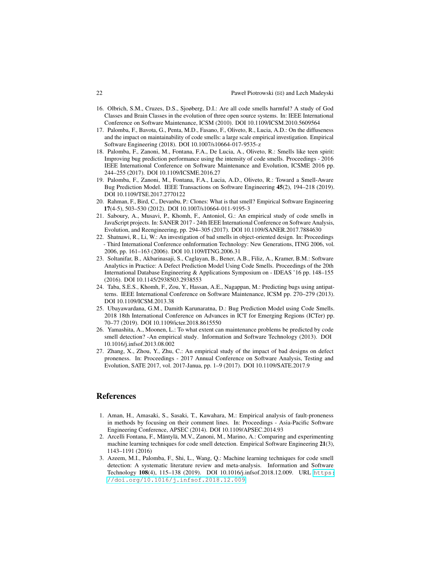- 16. Olbrich, S.M., Cruzes, D.S., Sjoøberg, D.I.: Are all code smells harmful? A study of God Classes and Brain Classes in the evolution of three open source systems. In: IEEE International Conference on Software Maintenance, ICSM (2010). DOI 10.1109/ICSM.2010.5609564
- 17. Palomba, F., Bavota, G., Penta, M.D., Fasano, F., Oliveto, R., Lucia, A.D.: On the diffuseness and the impact on maintainability of code smells: a large scale empirical investigation. Empirical Software Engineering (2018). DOI 10.1007/s10664-017-9535-z
- 18. Palomba, F., Zanoni, M., Fontana, F.A., De Lucia, A., Oliveto, R.: Smells like teen spirit: Improving bug prediction performance using the intensity of code smells. Proceedings - 2016 IEEE International Conference on Software Maintenance and Evolution, ICSME 2016 pp. 244–255 (2017). DOI 10.1109/ICSME.2016.27
- 19. Palomba, F., Zanoni, M., Fontana, F.A., Lucia, A.D., Oliveto, R.: Toward a Smell-Aware Bug Prediction Model. IEEE Transactions on Software Engineering 45(2), 194–218 (2019). DOI 10.1109/TSE.2017.2770122
- 20. Rahman, F., Bird, C., Devanbu, P.: Clones: What is that smell? Empirical Software Engineering 17(4-5), 503–530 (2012). DOI 10.1007/s10664-011-9195-3
- 21. Saboury, A., Musavi, P., Khomh, F., Antoniol, G.: An empirical study of code smells in JavaScript projects. In: SANER 2017 - 24th IEEE International Conference on Software Analysis, Evolution, and Reengineering, pp. 294–305 (2017). DOI 10.1109/SANER.2017.7884630
- 22. Shatnawi, R., Li, W.: An investigation of bad smells in object-oriented design. In: Proceedings - Third International Conference onInformation Technology: New Generations, ITNG 2006, vol. 2006, pp. 161–163 (2006). DOI 10.1109/ITNG.2006.31
- 23. Soltanifar, B., Akbarinasaji, S., Caglayan, B., Bener, A.B., Filiz, A., Kramer, B.M.: Software Analytics in Practice: A Defect Prediction Model Using Code Smells. Proceedings of the 20th International Database Engineering & Applications Symposium on - IDEAS '16 pp. 148–155 (2016). DOI 10.1145/2938503.2938553
- 24. Taba, S.E.S., Khomh, F., Zou, Y., Hassan, A.E., Nagappan, M.: Predicting bugs using antipatterns. IEEE International Conference on Software Maintenance, ICSM pp. 270–279 (2013). DOI 10.1109/ICSM.2013.38
- 25. Ubayawardana, G.M., Damith Karunaratna, D.: Bug Prediction Model using Code Smells. 2018 18th International Conference on Advances in ICT for Emerging Regions (ICTer) pp. 70–77 (2019). DOI 10.1109/icter.2018.8615550
- 26. Yamashita, A., Moonen, L.: To what extent can maintenance problems be predicted by code smell detection? -An empirical study. Information and Software Technology (2013). DOI 10.1016/j.infsof.2013.08.002
- 27. Zhang, X., Zhou, Y., Zhu, C.: An empirical study of the impact of bad designs on defect proneness. In: Proceedings - 2017 Annual Conference on Software Analysis, Testing and Evolution, SATE 2017, vol. 2017-Janua, pp. 1–9 (2017). DOI 10.1109/SATE.2017.9

## References

- <span id="page-21-2"></span>1. Aman, H., Amasaki, S., Sasaki, T., Kawahara, M.: Empirical analysis of fault-proneness in methods by focusing on their comment lines. In: Proceedings - Asia-Pacific Software Engineering Conference, APSEC (2014). DOI 10.1109/APSEC.2014.93
- <span id="page-21-1"></span>2. Arcelli Fontana, F., Mäntylä, M.V., Zanoni, M., Marino, A.: Comparing and experimenting machine learning techniques for code smell detection. Empirical Software Engineering 21(3), 1143–1191 (2016)
- <span id="page-21-0"></span>3. Azeem, M.I., Palomba, F., Shi, L., Wang, Q.: Machine learning techniques for code smell detection: A systematic literature review and meta-analysis. Information and Software Technology 108(4), 115–138 (2019). DOI 10.1016/j.infsof.2018.12.009. URL [https:](https://doi.org/10.1016/j.infsof.2018.12.009) [//doi.org/10.1016/j.infsof.2018.12.009](https://doi.org/10.1016/j.infsof.2018.12.009)